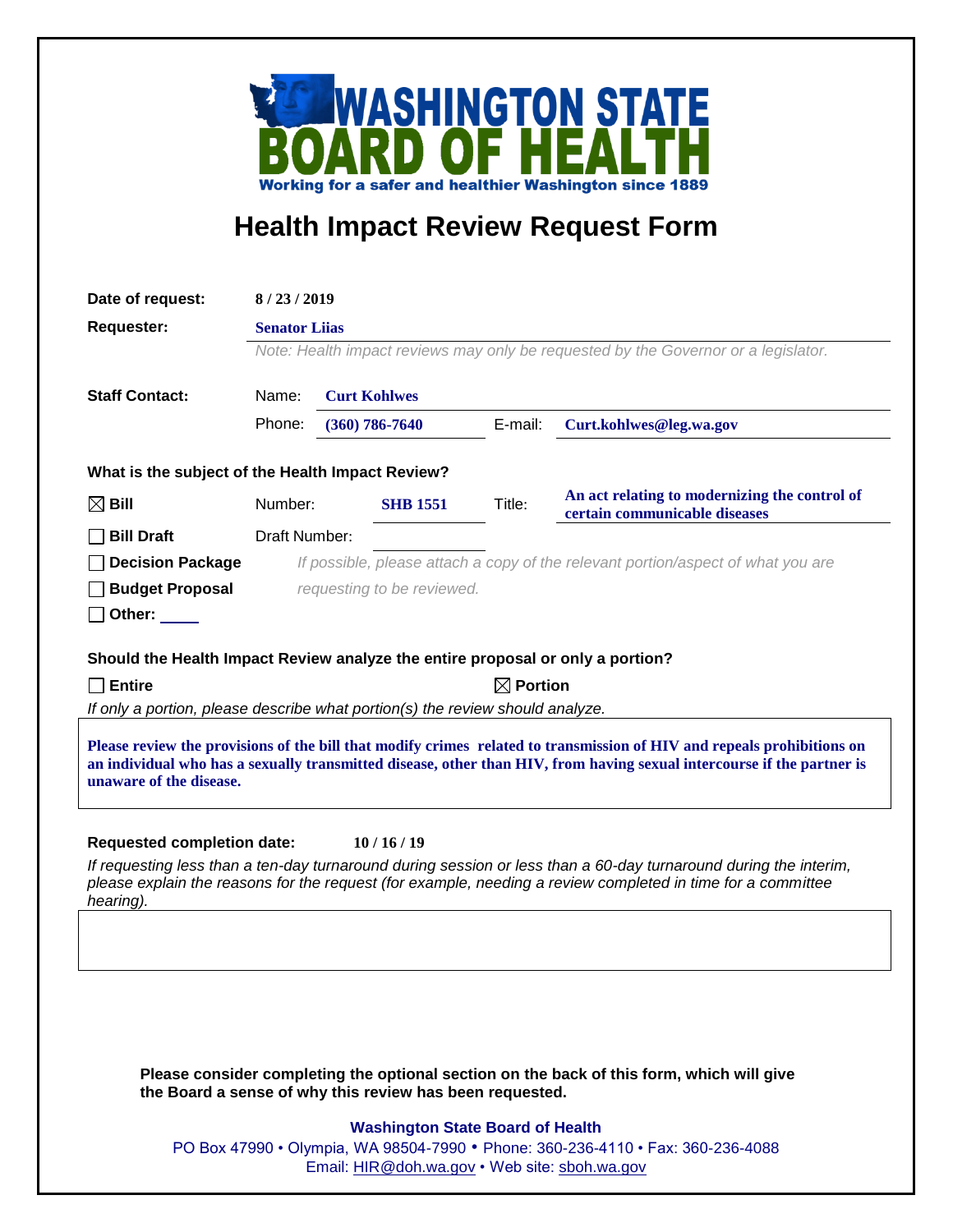

## **Health Impact Review Request Form**

| Date of request:                                                                                                                                                                                                                                                            | 8/23/2019                                                                          |                                                          |         |                                                                                |
|-----------------------------------------------------------------------------------------------------------------------------------------------------------------------------------------------------------------------------------------------------------------------------|------------------------------------------------------------------------------------|----------------------------------------------------------|---------|--------------------------------------------------------------------------------|
| <b>Requester:</b>                                                                                                                                                                                                                                                           | <b>Senator Lijas</b>                                                               |                                                          |         |                                                                                |
|                                                                                                                                                                                                                                                                             | Note: Health impact reviews may only be requested by the Governor or a legislator. |                                                          |         |                                                                                |
|                                                                                                                                                                                                                                                                             |                                                                                    |                                                          |         |                                                                                |
| <b>Staff Contact:</b>                                                                                                                                                                                                                                                       | Name:                                                                              | <b>Curt Kohlwes</b>                                      |         |                                                                                |
|                                                                                                                                                                                                                                                                             | Phone:                                                                             | $(360) 786 - 7640$                                       | E-mail: | Curt.kohlwes@leg.wa.gov                                                        |
| What is the subject of the Health Impact Review?                                                                                                                                                                                                                            |                                                                                    |                                                          |         |                                                                                |
| $\boxtimes$ Bill                                                                                                                                                                                                                                                            | Number:                                                                            | <b>SHB 1551</b>                                          | Title:  | An act relating to modernizing the control of<br>certain communicable diseases |
| <b>Bill Draft</b>                                                                                                                                                                                                                                                           | Draft Number:                                                                      |                                                          |         |                                                                                |
| <b>Decision Package</b>                                                                                                                                                                                                                                                     | If possible, please attach a copy of the relevant portion/aspect of what you are   |                                                          |         |                                                                                |
| <b>Budget Proposal</b>                                                                                                                                                                                                                                                      |                                                                                    | requesting to be reviewed.                               |         |                                                                                |
| Other: $\_\_$                                                                                                                                                                                                                                                               |                                                                                    |                                                          |         |                                                                                |
|                                                                                                                                                                                                                                                                             |                                                                                    |                                                          |         |                                                                                |
| Should the Health Impact Review analyze the entire proposal or only a portion?                                                                                                                                                                                              |                                                                                    |                                                          |         |                                                                                |
| $\boxtimes$ Portion<br><b>Entire</b>                                                                                                                                                                                                                                        |                                                                                    |                                                          |         |                                                                                |
| If only a portion, please describe what portion(s) the review should analyze.                                                                                                                                                                                               |                                                                                    |                                                          |         |                                                                                |
| Please review the provisions of the bill that modify crimes related to transmission of HIV and repeals prohibitions on<br>an individual who has a sexually transmitted disease, other than HIV, from having sexual intercourse if the partner is<br>unaware of the disease. |                                                                                    |                                                          |         |                                                                                |
| <b>Requested completion date:</b><br>10/16/19<br>If requesting less than a ten-day turnaround during session or less than a 60-day turnaround during the interim,                                                                                                           |                                                                                    |                                                          |         |                                                                                |
| please explain the reasons for the request (for example, needing a review completed in time for a committee<br>hearing).                                                                                                                                                    |                                                                                    |                                                          |         |                                                                                |
|                                                                                                                                                                                                                                                                             |                                                                                    |                                                          |         |                                                                                |
|                                                                                                                                                                                                                                                                             |                                                                                    |                                                          |         |                                                                                |
|                                                                                                                                                                                                                                                                             |                                                                                    |                                                          |         |                                                                                |
|                                                                                                                                                                                                                                                                             |                                                                                    |                                                          |         |                                                                                |
|                                                                                                                                                                                                                                                                             |                                                                                    |                                                          |         |                                                                                |
| Please consider completing the optional section on the back of this form, which will give                                                                                                                                                                                   |                                                                                    |                                                          |         |                                                                                |
|                                                                                                                                                                                                                                                                             |                                                                                    | the Board a sense of why this review has been requested. |         |                                                                                |

## **Washington State Board of Health**

PO Box 47990 • Olympia, WA 98504-7990 • Phone: 360-236-4110 • Fax: 360-236-4088 Email: [HIR@doh.wa.gov](mailto:HIR@doh.wa.gov) • Web site: [sboh.wa.gov](http://www.sboh.wa.gov/hdcouncil/)